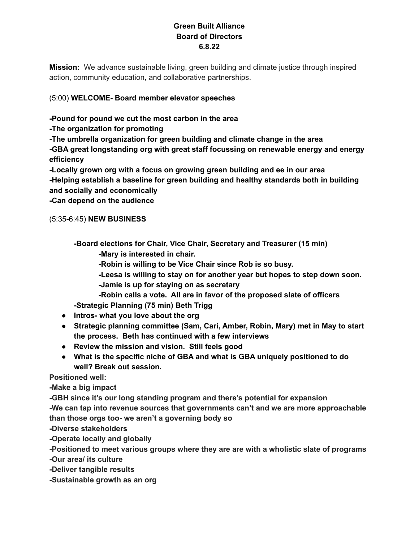## **Green Built Alliance Board of Directors 6.8.22**

**Mission:** We advance sustainable living, green building and climate justice through inspired action, community education, and collaborative partnerships.

## (5:00) **WELCOME- Board member elevator speeches**

**-Pound for pound we cut the most carbon in the area**

**-The organization for promoting**

**-The umbrella organization for green building and climate change in the area**

**-GBA great longstanding org with great staff focussing on renewable energy and energy efficiency**

**-Locally grown org with a focus on growing green building and ee in our area -Helping establish a baseline for green building and healthy standards both in building and socially and economically**

**-Can depend on the audience**

## (5:35-6:45) **NEW BUSINESS**

**-Board elections for Chair, Vice Chair, Secretary and Treasurer (15 min)**

**-Mary is interested in chair.**

**-Robin is willing to be Vice Chair since Rob is so busy.**

**-Leesa is willing to stay on for another year but hopes to step down soon.**

**-Jamie is up for staying on as secretary**

**-Robin calls a vote. All are in favor of the proposed slate of officers**

**-Strategic Planning (75 min) Beth Trigg**

- **● Intros- what you love about the org**
- **● Strategic planning committee (Sam, Cari, Amber, Robin, Mary) met in May to start the process. Beth has continued with a few interviews**
- **● Review the mission and vision. Still feels good**
- **● What is the specific niche of GBA and what is GBA uniquely positioned to do well? Break out session.**

**Positioned well:**

**-Make a big impact**

**-GBH since it's our long standing program and there's potential for expansion**

**-We can tap into revenue sources that governments can't and we are more approachable than those orgs too- we aren't a governing body so**

**-Diverse stakeholders**

**-Operate locally and globally**

**-Positioned to meet various groups where they are are with a wholistic slate of programs**

**-Our area/ its culture**

**-Deliver tangible results**

**-Sustainable growth as an org**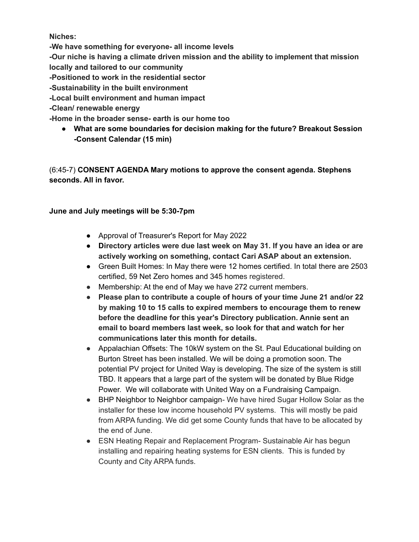**Niches:**

**-We have something for everyone- all income levels -Our niche is having a climate driven mission and the ability to implement that mission locally and tailored to our community -Positioned to work in the residential sector -Sustainability in the built environment -Local built environment and human impact -Clean/ renewable energy**

**-Home in the broader sense- earth is our home too**

**● What are some boundaries for decision making for the future? Breakout Session -Consent Calendar (15 min)**

(6:45-7) **CONSENT AGENDA Mary motions to approve the consent agenda. Stephens seconds. All in favor.**

**June and July meetings will be 5:30-7pm**

- Approval of Treasurer's Report for May 2022
- **Directory articles were due last week on May 31. If you have an idea or are actively working on something, contact Cari ASAP about an extension.**
- Green Built Homes: In May there were 12 homes certified. In total there are 2503 certified, 59 Net Zero homes and 345 homes registered.
- Membership: At the end of May we have 272 current members.
- **Please plan to contribute a couple of hours of your time June 21 and/or 22 by making 10 to 15 calls to expired members to encourage them to renew before the deadline for this year's Directory publication. Annie sent an email to board members last week, so look for that and watch for her communications later this month for details.**
- Appalachian Offsets: The 10kW system on the St. Paul Educational building on Burton Street has been installed. We will be doing a promotion soon. The potential PV project for United Way is developing. The size of the system is still TBD. It appears that a large part of the system will be donated by Blue Ridge Power. We will collaborate with United Way on a Fundraising Campaign.
- BHP Neighbor to Neighbor campaign- We have hired Sugar Hollow Solar as the installer for these low income household PV systems. This will mostly be paid from ARPA funding. We did get some County funds that have to be allocated by the end of June.
- ESN Heating Repair and Replacement Program- Sustainable Air has begun installing and repairing heating systems for ESN clients. This is funded by County and City ARPA funds.